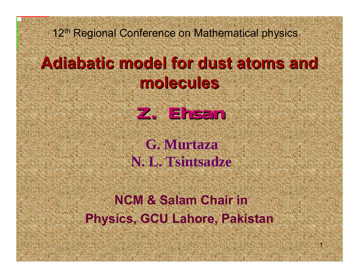#### 12<sup>th</sup> Regional Conference on Mathematical physics

### **Adiabatic model for dust atoms and Adiabatic model for dust atoms and molecules molecules**

**Z. Ehsan Z. Ehsan**

### **G. Murtaza N. L. Tsintsadze**

### **NCM & Salam Chair inPhysics, GCU Lahore, Pakistan**

1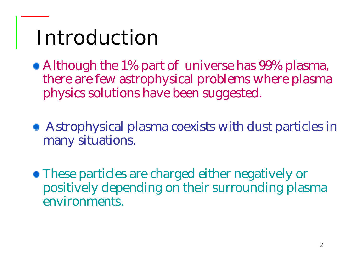# Introduction

• Although the 1% part of universe has 99% plasma, there are few astrophysical problems where plasma physics solutions have been suggested.

Astrophysical plasma coexists with dust particles in many situations.

These particles are charged either negatively or positively depending on their surrounding plasma environments.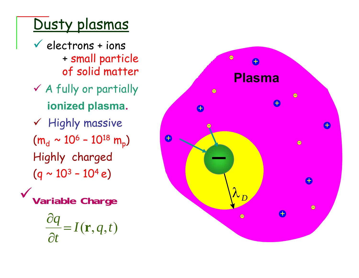### Dusty plasmas

- $\checkmark$  electrons + ions + small particle of solid matter
- $\checkmark$  A fully or partially **ionized plasma.**
- $\checkmark$  Highly massive (m $_{\rm d}\sim10^{\rm 6}$  –  $10^{18}$  m p ) Highly charged (q ~ 10<sup>3</sup> - 10<sup>4</sup> e)
- <sup>9</sup>**Variable Charge**

$$
\frac{\partial q}{\partial t} = I(\mathbf{r}, q, t)
$$

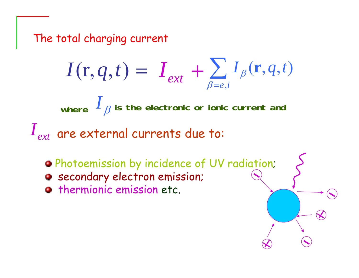The total charging current

$$
I(\mathbf{r}, q, t) = I_{ext} + \sum_{\beta=e,i} I_{\beta}(\mathbf{r}, q, t)
$$

where  $\mathbf{1}_{\beta}$ *I* **is the electronic or ionic current and**

 $I_{\mathit{ext}}$  are external currents due to:

Photoemission by incidence of UV radiation;

- **e** secondary electron emission;
- **Thermionic emission etc.**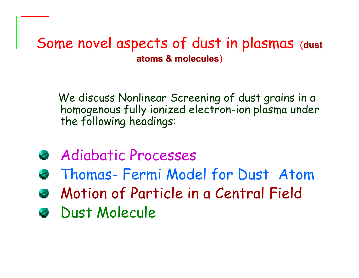#### Some novel aspects of dust in plasmas (**dust atoms & molecules atoms & molecules** )

We discuss Nonlinear Screening of dust grains in a homogenous fully ionized electron-ion plasma under the following headings:

- Adiabatic Processes
- Thomas- Fermi Model for Dust Atom
- Motion of Particle in a Central Field
- **B** Dust Molecule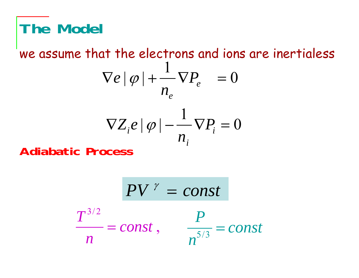# **The Model**

#### $\nabla Z_i e |\varphi| - \frac{1}{\nabla P_i} = 0$  $\nabla e |\varphi| + \frac{1}{\nabla P_e} = 0$ *i i e eP n*  $Z_ie\,|\,\varphi\,|$ *P n e* ϕ we assume that the electrons and ions are inertialess

*i*

**Adiabatic Process**

$$
PV^{\gamma} = const
$$
  

$$
\frac{P}{n} = const , \qquad \frac{P}{n^{5/3}} = const
$$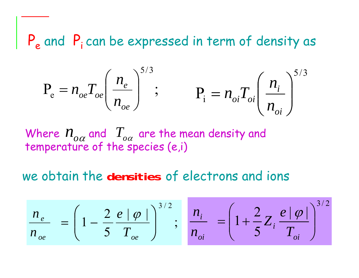P<sub>e</sub> and P<sub>i</sub> can be expressed in term of density as

$$
P_e = n_{oe} T_{oe} \left(\frac{n_e}{n_{oe}}\right)^{5/3};
$$
  $P_i = n_{oi} T_{oi} \left(\frac{n_i}{n_{oi}}\right)^{5/3}$ 

Where  $n_{_{OA}}$  and  $\ T_{_{OA}}$  are the mean density and temperature of the species (e,i)

#### we obtain the **densities** of electrons and ions

$$
\frac{n_e}{n_{oe}} = \left(1 - \frac{2}{5} \frac{e |\varphi|}{T_{oe}}\right)^{3/2}; \quad \frac{n_i}{n_{oi}} = \left(1 + \frac{2}{5} Z_i \frac{e |\varphi|}{T_{oi}}\right)^{3/2}
$$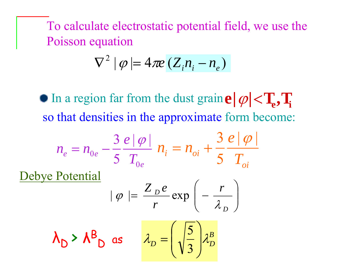To calculate electrostatic potential field, we use the Poisson equation

$$
\nabla^2 |\varphi| = 4\pi e \left( Z_i n_i - n_e \right)
$$

In a region far from the dust grain  $e|\varphi|$  <  $T_e$ ,  $T_i$ so that densities in the approximate form become:

$$
n_e = n_{0e} - \frac{3 e |\varphi|}{5 T_{0e}} n_i = n_{oi} + \frac{3 e |\varphi|}{5 T_{oi}}
$$

$$
\frac{\text{Debye Potential}}{|\varphi| = \frac{Z_{p}e}{r} \exp\left(-\frac{r}{\lambda_{p}}\right)}
$$

$$
\lambda_D > \lambda B_D
$$
 as  $\lambda_D = \left(\sqrt{\frac{5}{3}}\right) \lambda_D^B$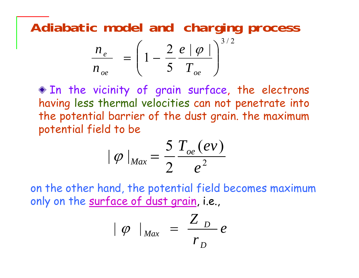**Adiabatic model and charging process**

$$
\frac{n_e}{n_{oe}} = \left(1 - \frac{2}{5} \frac{e \mid \varphi \mid}{T_{oe}}\right)^{3/2}
$$

In the vicinity of grain surface, the electrons having less thermal velocities can not penetrate into the potential barrier of the dust grain. the maximum potential field to be

$$
|\varphi|_{Max}=\frac{5}{2}\frac{T_{oe}(ev)}{e^2}
$$

on the other hand, the potential field becomes maximum only on the surface of dust grain, i.e.,

$$
\mid \varphi \mid_{\text{Max}} = \frac{Z_{D}}{r_{D}}e
$$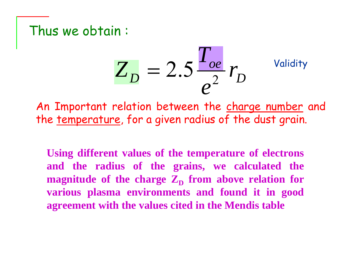#### Thus we obtain :

$$
Z_D = 2.5 \frac{T_{oe}}{e^2} r_D
$$
 *Validity*

An Important relation between the charge number and the temperature, for a given radius of the dust grain.

**Using different values of the temperature of electrons and the radius of the grains, we calculated the magnitude of the charge**  $\mathbf{Z}_{\mathbf{D}}$  **from above relation for various plasma environments and found it in good agreement with the values cited in the Mendis table**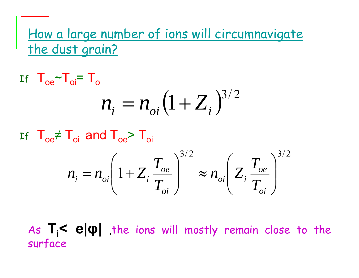#### How a large number of ions will circumnavigate the dust grain?

$$
\text{If } T_{\text{oe}} \sim T_{\text{o}i} = T_{\text{o}} \qquad n_{\text{o}i} \left( 1 + Z_i \right)^{3/2}
$$

If  $T_{\text{oe}} \neq T_{\text{o}i}$  and  $T_{\text{oe}} > T_{\text{o}i}$ 

$$
n_i = n_{oi} \left( 1 + Z_i \frac{T_{oe}}{T_{oi}} \right)^{3/2} \approx n_{oi} \left( Z_i \frac{T_{oe}}{T_{oi}} \right)^{3/2}
$$

As  $T_i$ <  $e|\phi|$  the ions will mostly remain close to the surface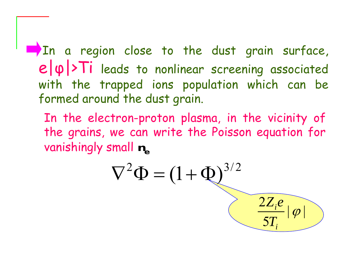In a region close to the dust grain surface, e| <sup>φ</sup>|>Ti leads to nonlinear screening associated with the trapped ions population which can be formed around the dust grain.

In the electron-proton plasma, in the vicinity of the grains, we can write the Poisson equation for vanishingly small **ne**

$$
\nabla^2 \Phi = (1 + \Phi)^{3/2}
$$
 
$$
\underbrace{\frac{2Z_i e}{5T_i} |\varphi|}_{}
$$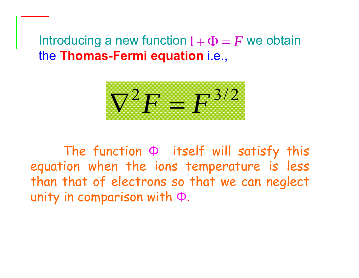#### Introducing a new function  $1+\Phi=F$  we obtain the **Thomas-Fermi equation** i.e.,

$$
\nabla^2 F = F^{3/2}
$$

The function Φ itself will satisfy this equation when the ions temperature is less than that of electrons so that we can neglect unity in comparison with Φ.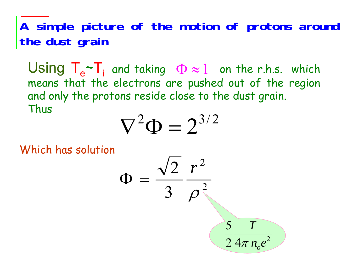**A simple picture of the motion of protons around the dust grain**

Using T<sub>e</sub> means that the electrons are pushed out of the region ~ $\sim$ T<sub>i</sub> and taking  $\Phi \approx 1$  on the r.h.s. which and only the protons reside close to the dust grain. Thus

$$
\nabla^2 \Phi = 2^{3/2}
$$

Which has solution

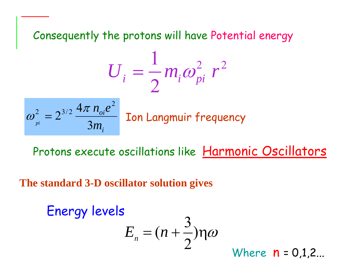Consequently the protons will have Potential energy

$$
U_i = \frac{1}{2} m_i \omega_{pi}^2 r^2
$$

$$
\omega_{pi}^2 = 2^{3/2} \frac{4\pi n_{oi} e^2}{3m_i}
$$

Ion Langmuir frequency

Protons execute oscillations like Harmonic Oscillators

**The standard 3-D oscillator solution gives**

Energy levels  

$$
E_n = (n + \frac{3}{2})\eta\omega
$$

Where  $n = 0.1, 2...$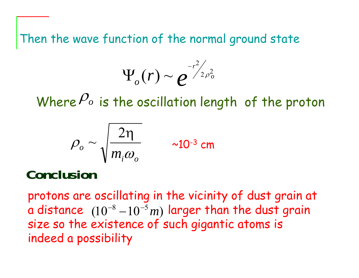Then the wave function of the normal ground state

$$
\Psi_o(r) \sim e^{-r^2/2\rho_o^2}
$$

Where  $P_o$  is the oscillation length of the proton

$$
\rho_o \sim \sqrt{\frac{2\eta}{m_i \omega_o}} \qquad \sim 10^{-3} \text{ cm}
$$

**Conclusion**

protons are oscillating in the vicinity of dust grain at a distance  $\;(10^{-8}\!-\!10^{-5}m)$  larger than the dust grain size so the existence of such gigantic atoms is indeed a possibility <sup>−o</sup> − 10−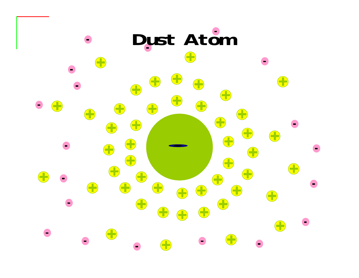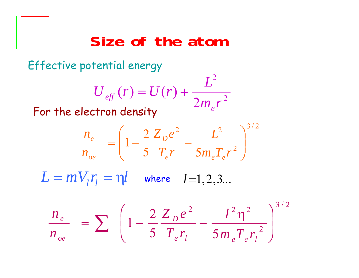## **Size of the atom**

Effective potential energy

$$
U_{\text{eff}}(r) = U(r) + \frac{L^2}{2m_e r^2}
$$

For the electron density

$$
\frac{n_e}{n_{oe}} = \left(1 - \frac{2 Z_p e^2}{5 T_e r} - \frac{L^2}{5 m_e T_e r^2}\right)^{3/2}
$$

 $L = m V_{_l} r_{_l} = \eta l \quad$  where  $l$  =1,2,3...

$$
\frac{n_e}{n_{oe}} = \sum \left( 1 - \frac{2 Z_p e^2}{5 T_e r_l} - \frac{l^2 \eta^2}{5 m_e T_e r_l^2} \right)^{3/2}
$$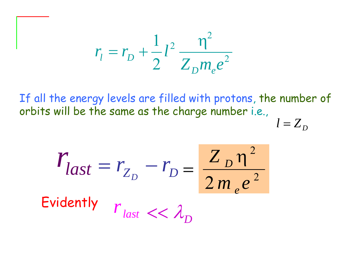$$
r_{l} = r_{D} + \frac{1}{2}l^{2} \frac{\eta^{2}}{Z_{D}m_{e}e^{2}}
$$

If all the energy levels are filled with protons, the number of orbits will be the same as the charge number i.e.,

$$
l = Z_D
$$

$$
r_{last} = r_{Z_D} - r_D = \frac{Z_D n^2}{2m_e e^2}
$$
  
Evidently  $r_{last} \ll \lambda_D$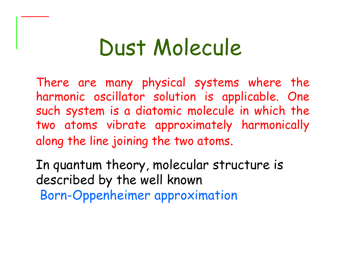# Dust Molecule

There are many physical systems where the harmonic oscillator solution is applicable. One such system is a diatomic molecule in which the two atoms vibrate approximately harmonically along the line joining the two atoms.

In quantum theory, molecular structure is described by the well known Born-Oppenheimer approximation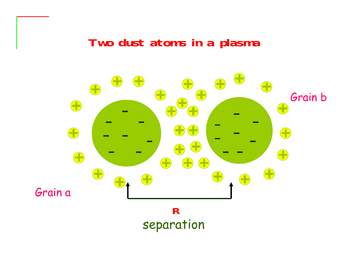#### **Two dust atoms in a plasma**

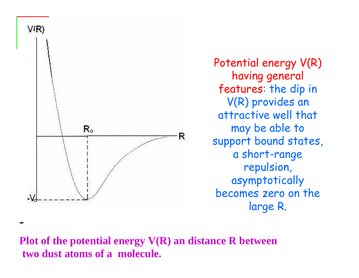

-

Potential energy V(R) having general features: the dip in V(R) provides an attractive well that may be able to support bound states, a short-range repulsion, asymptotically becomes zero on the large R.

**Plot of the potential energy V(R) an distance R between two dust atoms of a molecule.**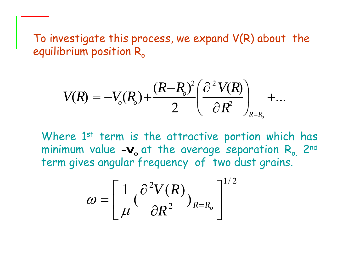To investigate this process, we expand V(R) about the equilibrium position  $\mathsf{R}_{\mathsf{o}}$ 

$$
V(R) = -V_o(R_o) + \frac{(R-R_o)^2}{2} \left(\frac{\partial^2 V(R)}{\partial R^2}\right)_{R=R_o} + ...
$$

Where 1<sup>st</sup> term is the attractive portion which has minimum value -V<sub>o</sub> at the average separation R<sub>o.</sub> 2<sup>nd</sup> term gives angular frequency of two dust grains.

$$
\omega = \left[ \frac{1}{\mu} \left( \frac{\partial^2 V(R)}{\partial R^2} \right)_{R=R_o} \right]^{1/2}
$$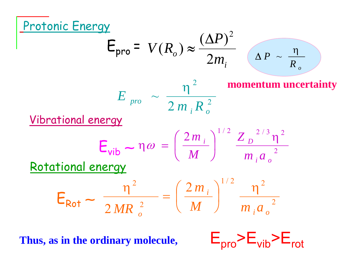

Thus, as in the ordinary molecule,  $E_{\text{nrn}}\geq E_{\text{vih}}\geq E_{\text{rnt}}$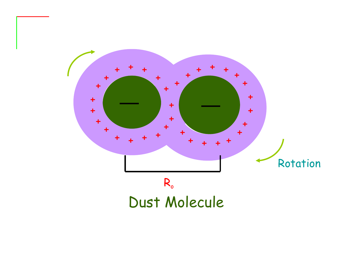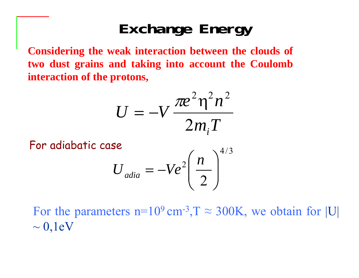# **Exchange Energy**

**Considering the weak interaction between the clouds of two dust grains and taking into account the Coulomb interaction of the protons,**

$$
U = -V \frac{\pi e^2 \eta^2 n^2}{2m_i T}
$$

For adiabatic case

$$
U_{adia} = -Ve^2 \left(\frac{n}{2}\right)^{4/3}
$$

For the parameters  $n=10^9$  cm<sup>-3</sup>,  $T \approx 300$ K, we obtain for [U]  $\sim 0,1$ eV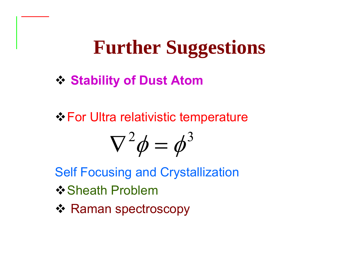# **Further Suggestions**

**❖ Stability of Dust Atom** 

For Ultra relativistic temperature

$$
\nabla^2 \phi = \phi^3
$$

Self Focusing and Crystallization

- **❖ Sheath Problem**
- ❖ Raman spectroscopy